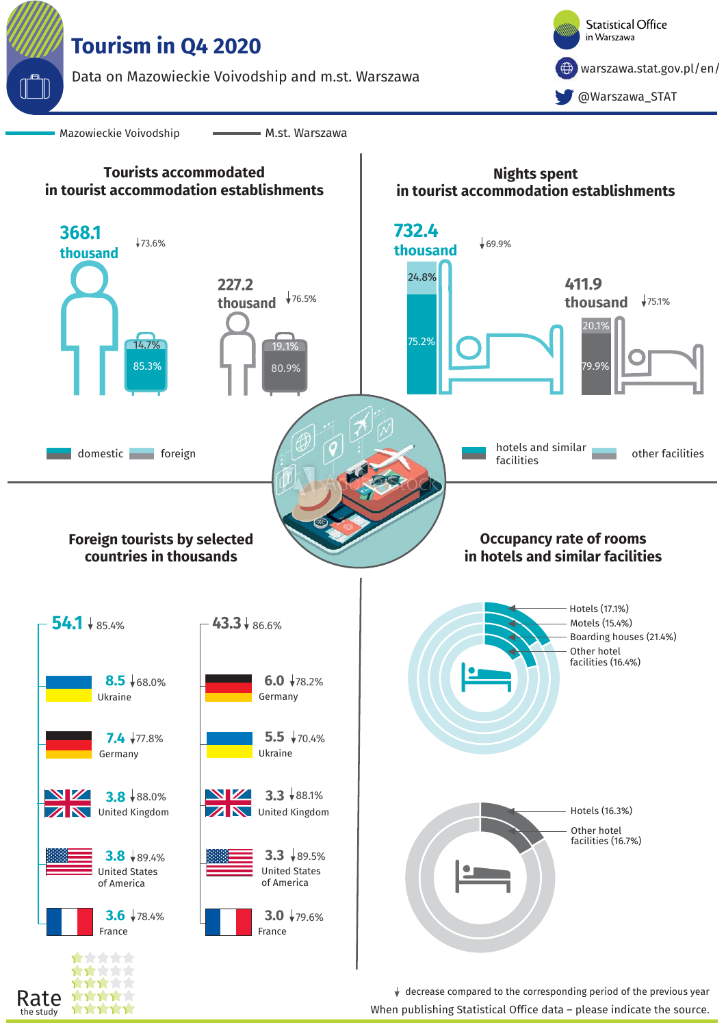

study

decrease compared to the corresponding period of the previous year When publishing Statistical Office data – please indicate the source.<br>When publishing Statistical Office data – please indicate the source.